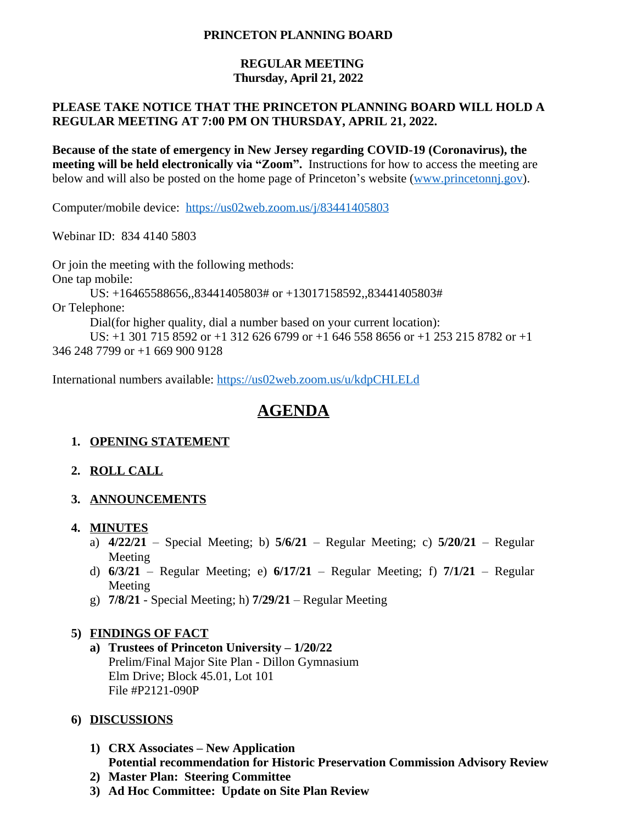#### **PRINCETON PLANNING BOARD**

#### **REGULAR MEETING Thursday, April 21, 2022**

## **PLEASE TAKE NOTICE THAT THE PRINCETON PLANNING BOARD WILL HOLD A REGULAR MEETING AT 7:00 PM ON THURSDAY, APRIL 21, 2022.**

**Because of the state of emergency in New Jersey regarding COVID-19 (Coronavirus), the meeting will be held electronically via "Zoom".** Instructions for how to access the meeting are below and will also be posted on the home page of Princeton's website ([www.princetonnj.gov\)](http://www.princetonnj.gov).

Computer/mobile device: <https://us02web.zoom.us/j/83441405803>

Webinar ID: 834 4140 5803

Or join the meeting with the following methods: One tap mobile: US: +16465588656,,83441405803# or +13017158592,,83441405803# Or Telephone: Dial(for higher quality, dial a number based on your current location): US: +1 301 715 8592 or +1 312 626 6799 or +1 646 558 8656 or +1 253 215 8782 or +1 346 248 7799 or +1 669 900 9128

International numbers available: <https://us02web.zoom.us/u/kdpCHLELd>

# **AGENDA**

## **1. OPENING STATEMENT**

- **2. ROLL CALL**
- **3. ANNOUNCEMENTS**
- **4. MINUTES**
	- a) **4/22/21** Special Meeting; b) **5/6/21** Regular Meeting; c) **5/20/21** Regular Meeting
	- d) **6/3/21** Regular Meeting; e) **6/17/21** Regular Meeting; f) **7/1/21** Regular Meeting
	- g) **7/8/21** Special Meeting; h) **7/29/21** Regular Meeting

## **5) FINDINGS OF FACT**

**a) Trustees of Princeton University – 1/20/22** Prelim/Final Major Site Plan - Dillon Gymnasium Elm Drive; Block 45.01, Lot 101 File #P2121-090P

## **6) DISCUSSIONS**

- **1) CRX Associates – New Application Potential recommendation for Historic Preservation Commission Advisory Review**
- **2) Master Plan: Steering Committee**
- **3) Ad Hoc Committee: Update on Site Plan Review**